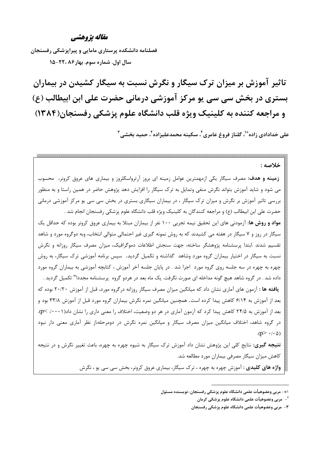## مقاله يژوهشي

فصلنامه دانشکده پرستاری مامایی و پیرایزشکی رفسنجان سال اول. شماره سوم. بهار ۲۲، ۲۲۰-۱۵

تاثیر آموزش بر میزان ترک سیگار و نگرش نسبت به سیگار کشیدن در بیماران بستری در بخش سی سی یو مرکز آموزشی درمانی حضرت علی ابن ابیطالب (ع) و مراجعه کننده به کلینیک ویژه قلب دانشگاه علوم پزشکی رفسنجان(۱۳۸۴)

علی خدادادی زاده ٌٌ ٰ، گلناز فروغ عامری ِ ٰ، سکینه محمدعلیزاده ٰ ، حمید بخشے ٖ ؑ

خلاصه : **زمینه و هدف:** مصرف سیگار یکی ازمهمترین عوامل زمینه ای بروز آرترواسکلروز و بیماری های عروق کرونر، محسوب می شود و شاید آموزش بتواند نگرش منفی وتمایل به ترک سیگار را افزایش دهد پژوهش حاضر در همین راستا و به منظور بررسی تاثیر آموزش بر نگرش و میزان ترک سیگار ، در بیماران سیگاری بستری در بخش سی سی یو مرکز آموزشی درمانی

حضرت علي ابن ابيطالب (ع) و مراجعه كنندگان به كلينيک ويژه قلب دانشگاه علوم يزشکي رفسنجان انجام شد . **مواد و روش ها:** آزمودنی های این تحقیق نیمه تجربی ۱۰۰ نفر از بیماران مبتلا به بیماری عروق کرونر بوده که حداقل یک سیگار در روز و ۷ سیگار در هفته می کشیدند که به روش نمونه گیری غیر احتمالی متوالی انتخاب، وبه دوگروه مورد و شاهد تقسیم شدند .ابتدا پرسشنامه پژوهشگر ساخته، جهت سنجش اطلاعات دموگرافیک، میزان مصرف سیگار روزانه و نگرش نسبت به سیگار در اختیار بیماران گروه مورد وشاهد گذاشته و تکمیل گردید. سپس برنامه آموزشی ترک سیگار، به روش چهره به چهره در سه جلسه روی گروه مورد اجرا شد . در پایان جلسه آخر آموزش ، کتابچه آموزشی به بیماران گروه مورد داده شد . در گروه شاهد هیچ گونه مداخله ای صورت نگرفت. یک ماه بعد در هردو گروه پرسشنامه مجددا" تکمیل گردید . **یافته ها** : آزمون های آماری نشان داد که میانگین میزان مصرف سیگار روزانه درگروه مورد، قبل از آموزش ۲۰/۲۰ بوده که بعد از آموزش به ۶/۱۴ کاهش پیدا کرده است. همچنین میانگین نمره نگرش بیماران گروه مورد قبل از آموزش ۳۳/۸ بود و بعد از آموزش به ۲۴/۵ کاهش پیدا کرد که آزمون آماری در هر دو وضعیت، اختلاف را معنی داری را نشان داد(۰۰۰۱/ >p). در گروه شاهد، اختلاف میانگین میزان مصرف سیگار و میانگین نمره نگرش در دومرحله،از نظر آماری معنی دار نبود  $(p > \cdot / \cdot \Delta)$ 

**نتیجه گیری**: نتایج کلی این پژوهش نشان داد آموزش ترک سیگار به شیوه چهره به چهره، باعث تغییر نگرش و در نتیجه کاهش میزان سیگار مصرفی بیماران مورد مطالعه شد.

**واژه های کلیدی :** آموزش چهره به چهره ، ترک سیگار، بیماری عروق کرونر، بخش سی سی یو ، نگرش

۱\*- مربی وعضوهیأت علمی دانشگاه علوم پزشکی رفسنجان-نویسنده مسئول

<sup>&</sup>lt;sup>۲</sup>- مربی وعضوهیآت علمی دانشگاه علوم پزشکی کرمان

۳- مربی وعضوهیأت علمی دانشگاه علوم پزشکی رفسنجان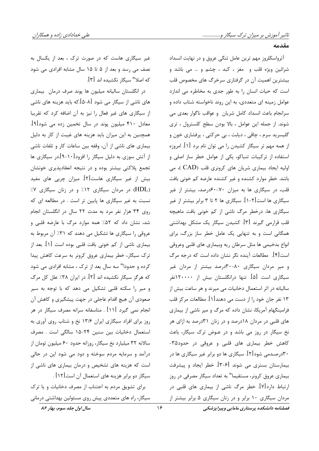#### مقدمه

آترواسکلروز مهم ترین عامل تنگی عروق و در نهایت انسداد شرائین ویژه قلب و مغز ، کبد ، چشم و … می باشد و بیشترین اهمیت آن در گرفتاری سرخرگ های مخصوص قلب است که حیات انسان را به طور جدی به مخاطره می اندازد عوامل زمینه ای متعددی، به این روند ناخواسته شتاب داده و سرانجام باعث انسداد كامل شريان وعواقب ناكوار بعدى مى شوند. از جمله این عوامل ، بالا بودن سطح کلسترول ، تری گلیسرید سرم ، چاقی ، دیابت ، بی حرکتی ، پرفشاری خون و از همه مهم تر سیگار کشیدن را می توان نام برد [۱]. امروزه استفاده از ترکیبات تنباکو، یکی از عوامل خطر ساز اصلی و اولیه ایجاد بیماری شریان های کرونری قلب (CAD )، می باشد. خطر موارد کشنده و غیر کشنده عارضه کم خونی بافت قلب، در سیگاری ها به میزان ۷۰-۶۰درصد، بیشتر از غیر سیگاری ها است[۲-۱]. سیگاری ها ۲ تا ۳ برابر بیشتر از غیر سیگاری ها، درخطر مرگ ناشی از کم خونی بافت ماهیچه قلب قرارمی گیرند [۳]. کشیدن سیگار یک مشکل بهداشتی همگانی است و به تنهایی یک عامل خطر ساز بزرگ، برای انواع بدخيمي ها مثل سرطان ريه وبيماري هاي قلبي وعروقي است [۴]. مطالعات آینده نگر نشان داده است که درجه مرگ و میر مردان سیگاری ۸۰-۳۰درصد بیشتر از مردان غیر سیگاری است [۵]. تنها درانگلستان بیش از ۱۲۰۰۰۰نفر سالیانه در اثر استعمال دخانیات می میرند و هر ساعت بیش از ۱۳ نفر جان خود را از دست می دهند[۱]. مطالعات مرکز قلب فرامینگهام آمریکا، نشان داده که مرگ و میر ناشی از بیماری های قلبی در مردان ۱۸درصد و در زنان ۳۱درصد به ازای هر نخ سیگار در روز می باشد و در عـوض ترک سیگار، باعث کاهش خطر بیماری های قلبی و عروقی در حدود۳۵-۳۰د, صـدمی شود[۲]. سیگاری ها دو برابر غیر سیگاری ها در بیمارستان بستری می شوند [۶-۳]. خطر ایجاد و پیشرفت بیماری عروق کرونر، مستقیما" به تعداد سیگار مصرفی در روز ارتباط دارد[۷]. خطر مرگ ناشی از بیماری های قلبی در مردان سیگاری ۱۰ برابر و در زنان سیگاری ۵ برابر بیشتر از

غیر سیگاری هاست که در صورت ترک ، بعد از یکسال به نصف می رسد و بعد از ۵ تا ۱۵ سال مشابه افرادی می شود كه اصلا" سيگار نكشيده اند [۳].

در انگلستان سالیانه میلیون ها پوند صرف درمان بیماری های ناشی از سیگار می شود [۸−۵].که باید هزینه های ناشی از سیگاری های غیر فعال را نیز به آن اضافه کرد که تقریبا معادل ۴۱۰ میلیون پوند در سال تخمین زده می شود[۹]. همچنین به این میزان باید هزینه های غیبت از کار به دلیل بیماری های ناشی از آن، وقفه بین ساعات کار و تلفات ناشی از آتش سوزی به دلیل سیگار را افزود[۱۰-۹].در سیگاری ها تجمع پلاکتی بیشتر بوده و در نتیجه انعقادپذیری خونشان بیش از غیر سیگاری هاست[۲]. میزان چربی های مفید (HDL) در مردان سیگاری ۱۲٪ و در زنان سیگاری ۷٪ نسبت به غیر سیگاری ها پایین تر است . در مطالعه ای که روی ۳۴ هزار نفر مرد به مدت ۲۲ سال در انگلستان انجام شد، نشان داد که ۵۲٪ همه موارد مرگ با عارضه قلبی و عروقی را سیگاری ها تشکیل می دهند که ۳۱٪ آن مربوط به بیماری ناشی از کم خونی بافت قلبی بوده است [۱]. بعد از ترک سیگار، خطر بیماری عروق کرونر به سرعت کاهش پیدا کرده و حدودا" سه سال بعد از ترک ، مشابه افرادی می شود که هرگز سیگار نکشیده اند [۲]. در ایران ۳۸٪ علل کل مرگ و میر را سکته قلبی تشکیل می دهد که با توجه به سیر صعودی آن هیچ اقدام عاجلی در جهت پیشگیری و کاهش آن انجام نمی گیرد [۱۱] . متاسفانه سرانه مصرف سیگار در هر روز برای افراد سیگاری ایران ۱۳/۶ نخ و شتاب روی آوری به استعمال دخانیات بین سنین ۲۴-۱۵ سالگی است . مصرف سالانه ٣٢ ميليارد نخ سيگار، روزانه حدود ۶۰ ميليون تومان از درآمد و سرمایه مردم سوخته و دود می شود این در حالی است که هزینه های تشخیص و درمان بیماری های ناشی از سیگار دو برابر هزینه های استعمال آن است[۱۲] . برای تشویق مردم به اجتناب از مصرف دخانیات و یا ترک سیگار، راه های متعددی پیش روی مسئولین بهداشتی درمانی

فصلنامه دانشكده يرستاري مامايي وييرايزشكي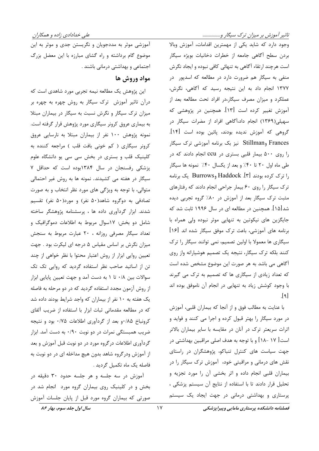تاثیر آموزش بر میزان ترک سیگار و.................

آموزشی موثر به مددجویان و نگریستن جدی و موثر به این موضوع گام برداشته و راه گشای مبارزه با این معضل بزرگ اجتماعی و بهداشتی درمانی باشند .

# مواد وروش ها

این پژوهش یک مطالعه نیمه تجربی مورد شاهدی است که درآن تاثیر آموزش ترک سیگار به روش چهره به چهره بر میزان ترک سیگار و نگرش نسبت به سیگار در بیماران مبتلا به بیماری عروق کرونر سیگاری مورد پژوهش قرار گرفته است. نمونه پژوهش ۱۰۰ نفر از بیماران مبتلا به نارسایی عروق کرونر سیگاری ( کم خونی بافت قلب ) مراجعه کننده به کلینیک قلب و بستری در بخش سی سی یو دانشگاه علوم پزشکی رفسنجان در سال ۱۳۸۴بوده است که حداقل ۷ سیگار در هفته می کشیدند. نمونه ها به روش غیر احتمالی متوالی، با توجه به ویژگی های مورد نظر انتخاب و به صورت تصادفی به دوگروه شاهد(۵۰ نفر) و مورد(۵۰ نفر) تقسیم شدند. ابزار گردآوری داده ها ، پرسشنامه پژوهشگر ساخته شامل دو بخش: ١٧سوال مربوط به اطلاعات دموگرافیک و تعداد سیگار مصرفی روزانه ، ۲۰ عبارت مربوط به سنجش میزان نگرش بر اساس مقیاس ۵ درجه ای لیکرت بود . جهت تعیین روایی ابزار از روش اعتبار محتوا با نظر خواهی از چند تن از اساتید صاحب نظر استفاده گردید که روایی تک تک سوالات بین ۰/۸ تا ۱ به دست آمد و جهت تعیین پایایی ابزار از روش آزمون مجدد استفاده گردید که در دو مرحله به فاصله یک هفته به ۱۰ نفر از بیماران که واجد شرایط بودند داده شد که در مطالعه مقدماتی ثبات ابزار با استفاده از ضریب آلفای کرونباخ ۰/۸۵ و بعد از گردآوری اطلاعات ۰/۷۵ بود و نتیجه ضریب همبستگی نمرات در دو نوبت ۰/۹۰ به دست آمد. ابزار گردآوری اطلاعات در گروه مورد در دو نوبت قبل آموزش و بعد از آموزش ودر گروه شاهد بدون هیچ مداخله ای در دو نوبت به فاصله یک ماه تکمیل گردید .

آموزش در سه جلسه و هر جلسه حدود ۳۰ دقیقه در بخش و در کلینیک روی بیماران گروه مورد انجام شد در صورتی که بیماران گروه مورد قبل از پایان جلسات آموزش

وجود دارد که شاید یکی از مهمترین اقدامات، آموزش وبالا بردن سطح آگاهی جامعه از خطرات دخانیات بویژه سیگار است هرچند ارتقاء آگاهی به تنهائی کافی نبوده و ایجاد نگرش منفی به سیگار هم ضرورت دارد در مطالعه که اسدپور در ١٣٧٧ انجام داد به اين نتيجه رسيد كه آگاهي، نگرش، عملکرد و میزان مصرف سیگار،در افراد تحت مطالعه بعد از آموزش تغییر کرده است [۱۳]. همچنین در پژوهشی که سهیلی(۱۳۶۹) انجام داد،آگاهی افراد از مضرات سیگار در گروهی که آموزش ندیده بودند، پائین بوده است [۱۴]. Frances وStillman نیز بک برنامه آموزشی ترک سیگار را روی ۵۰۰ بیمار قلبی بستری در ccu انجام دادند که در طی ماه اول ٢٠ تا ۴٠٪ و بعد از یکسال ۴٠٪ نمونه ها سیگار را ترک کرده بودند Haddock .[۳] وBurrows یک برنامه ترک سیگار را روی ۶۰ بیمار جراحی انجام دادند که رفتارهای مثبت ترک سیگار بعد از آموزش در ۸۰٪ گروه تجربی دیده شد[۱۵]. همچنین در مطالعه ای در سال ۱۹۹۶ ثابت شد که جایگزین های نیکوتین به تنهایی موثر نبوده ولی همراه با برنامه های آموزشی، باعث ترک موفق سیگار شده اند [۱۶] سیگاری ها معمولا با اولین تصمیم، نمی توانند سیگار را ترک کنند بلکه ترک سیگار، نتیجه یک تصمیم هوشیارانه واز روی آگاهی می باشد به هر صورت این موضوع مشخص شده است که تعداد زیادی از سیگاری ها که تصمیم به ترک می گیرند با وجود کوشش زیاد به تنهایی در انجام آن ناموفق بوده اند  $\lceil 9 \rceil$ 

با عنایت به مطالب فوق و از آنجا که بیماران قلبی، آموزش در مورد سیگار را بهتر قبول کرده و اجرا می کنند و فواید و اثرات سریعتر ترک در آنان در مقایسه با سایر بیماران بالاتر است [ ۱۷ –۱۸] و با توجه به هدف اصلی مراقبین بهداشتی در جهت سیاست های کنترل تنباکو، پژوهشگران در راستای نقش های درمانی و مراقبتی خود، آموزش ترک سیگار را در بیماران قلبی انجام داده و اثر بخشی آن را مورد تجزیه و تحليل قرار دادند تا با استفاده از نتايج آن سيستم پزشكى ، پرستاری و بهداشتی درمانی در جهت ایجاد یک سیستم

فصلنامه دانشکده پرستاری مامایی وپیراپزشکی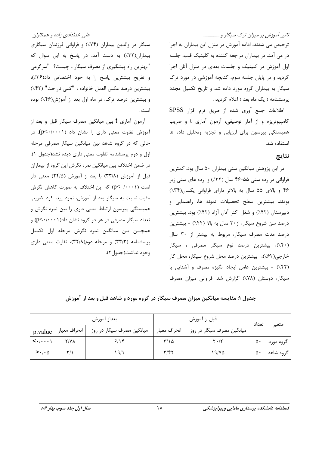تاثیر آموزش بر میزان ترک سیگار و.................

علی خدادادی زاده و همکاران

ترخیص می شدند، ادامه آموزش در منزل این بیماران به اجرا در می آمد. در بیماران مراجعه کننده به کلینیک قلب، جلسه اول آموزش در کلینیک و جلسات بعدی در منزل آنان اجرا گردید و در پایان جلسه سوم، کتابچه آموزشی در مورد ترک سیگار به بیماران گروه مورد داده شد و تاریخ تکمیل مجدد پرسشنامه ( یک ماه بعد ) اعلام گردید .

اطلاعات جمع آوري شده از طريق نرم افزار SPSS کامپیوتریزه و از آمار توصیفی، آزمون آماری t و ضریب همبستگی پیرسون برای ارزیابی و تجزیه وتحلیل داده ها استفاده شد.

### نتايج

در این پژوهش میانگین سنی بیماران ۵۰ سال بود. کمترین فراوانی در رده سنی ۵۵-۴۶ سال (۳۲٪) و رده های سنی زیر ۴۶ و بالای ۵۵ سال به بالاتر دارای فراوانی یکسان(۳۴٪) بودند. بیشترین سطح تحصیلات نمونه ها، راهنمایی و دبیرستان (۴۲٪) و شغل اکثر آنان آزاد (۴۲٪) بود. بیشترین درصد سن شروع سیگار، از ۲۰ سال به بالا (۴۴٪) - بیشترین درصد مدت مصرف سیگار، مربوط به بیشتر از ۳۰ سال (۴۰٪)، بیشترین درصد نوع سیگار مصرفی ، سیگار خارجي(۶۲٪)، بيشترين درصد محل شروع سيگار، محل كار (۴۲٪) - بیشترین عامل ایجاد انگیزه مصرف و آشنایی با سیگار، دوستان (۷۸٪) گزارش شد. فراوانی میزان مصرف

سیگار در والدین بیماران (۷۴٪) و فراوانی فرزندان سیگاری بیماران(٣٢٪) به دست آمد. در پاسخ به این سوال که "بهترین راه پیشگیری از مصرف سیگار ، چیست؟ "سرگرمی و تفريح بيشترين پاسخ را به خود اختصاص داد(٣۶٪)، بيشترين درصد عكس العمل خانواده ، "كمى ناراحت" (۴۲٪) و بیشترین درصد ترک، در ماه اول بعد از آموزش(۴۶٪) بوده است .

آزمون آماری t بین میانگین مصرف سیگار قبل و بعد از آموزش تفاوت معنى دارى را نشان داد (p<٠/٠٠١). در حالی که در گروه شاهد بین میانگین سیگار مصرفی مرحله اول و دوم پرسشنامه تفاوت معنی داری دیده نشد(جدول ۱). در ضمن اختلاف بین میانگین نمره نگرش این گروه از بیماران قبل از آموزش (۳۳/۸) با بعد از آموزش (۲۴/۵) معنی دار است (p ≺ ./ · · ۱) که این اختلاف به صورت کاهش نگرش مثبت نسبت به سیگار بعد از آموزش، نمود پیدا کرد. ضریب همبستگی پیرسون ارتباط معنی داری را بین نمره نگرش و تعداد سیگار مصرفی در هر دو گروه نشان داد $p<\cdot/\cdot\cdot$ ) و همچنین بین میانگین نمره نگرش مرحله اول تکمیل پرسشنامه (۳۳/۳) و مرحله دوم(۳۲/۸)، تفاوت معنی داری وجود نداشت(جدول ۲).

جدول ۱: مقایسه میانگین میزان مصرف سیگار در گروه مورد و شاهد قبل و بعد از آموزش

|                                             |                         | بعداز آموزش               | قبل از آموزش            |                               | ا تعداد | متغير     |
|---------------------------------------------|-------------------------|---------------------------|-------------------------|-------------------------------|---------|-----------|
| p.value                                     | انحراف معيار            | میانگین مصرف سیگار در روز | انحراف معيار ا          | میانگین مصرف سیگار در روز     |         |           |
| $\langle \cdot   \cdot \cdot \cdot \rangle$ | <b>Y/YA</b>             | 9/19                      | ۲/۱۵                    | $\mathbf{Y} \cdot \mathbf{X}$ | ۵۰      | گروه مورد |
| $> \cdot / \cdot \Delta$                    | $\mathbf{r}/\mathbf{r}$ | ۱۹/۱                      | $\mathbf{y}/\mathbf{f}$ | ۱۹/۷۵                         | ۵۰      | گروه شاهد |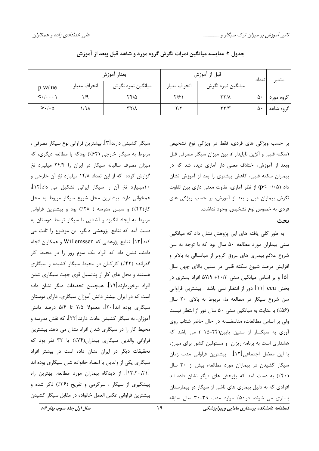|                                             |              | بعداز آموزش               | قبل از آموزش            |                   |       | متغير     |
|---------------------------------------------|--------------|---------------------------|-------------------------|-------------------|-------|-----------|
| p.value                                     | انحراف معيار | ميانگين نمره نگرش         | انحراف معيار            | ميانگين نمره نگرش | تعداد |           |
| $\langle \cdot   \cdot \cdot \cdot \rangle$ |              | ۲۴۱۵                      | ۲۱۶۱                    | ۳۳/۸              | ۵۰    | گروه مورد |
| $> \cdot / \cdot \Delta$                    | ۱/۹۸         | $\gamma \gamma / \lambda$ | $\mathsf{Y}/\mathsf{Y}$ | ۳۳/۳              | ۵۰    | گروه شاهد |

جدول ۲: مقایسه میانگین نمرات نگرش گروه مورد و شاهد قبل وبعد از آموزش

سیگار کشیدن دارند[۳]. بیشترین فراوانی نوع سیگار مصرفی ، مربوط به سیگار خارجی (۶۲٪) بودکه با مطالعه دیگری، که میزان مصرف سالیانه سیگار در ایران را ۲۴/۴ میلیارد نخ گزارش کرده که از این تعداد ۱۴/۸ میلیارد نخ آن خارجی و ۱۰میلیارد نخ آن را سیگار ایرانی تشکیل می داد[۱۲]، همخوانی دارد. بیشترین محل شروع سیگار مربوط به محل کار(۴۲٪) و سپس مدرسه ( ۲۸٪) بود و بیشترین فراوانی مربوط به ایجاد انگیزه و آشنایی با سیگار توسط دوستان به دست آمد که نتایج پژوهشی دیگر، این موضوع را ثابت می کند[۱۳]. نتایج پژوهشی که Willemssen و همکاران انجام دادند، نشان داد که افراد یک سوم روز را در محیط کار گذرانده (۴۲٪) کارکنان در محیط سیگار کشیده و سیگاری هستند و محل های کار از پتانسیل قوی جهت سیگاری شدن افراد برخوردارند[۱۹]. همچنین تحقیقات دیگر نشان داده است که در ایران بیشتر دانش آموزان سیگاری، دارای دوستان سیگاری بوده اند[۲۰]، معمولا ۲/۵ تا ۵/۴ درصد دانش آموزان، به سیگار کشیدن عادت دارند[۲۲]، که نقش مدرسه و محیط کار را در سیگاری شدن افراد نشان می دهد. بیشترین فراوانی والدین سیگاری بیماران(۷۴٪) یا ۳۲ نفر بود که تحقیقات دیگر در ایران نشان داده است در بیشتر افراد سیگاری یکی از والدین یا اعضاء خانواده شان سیگاری بوده اند [٬۳٬۲۰٬۲۱]. از دیدگاه بیماران مورد مطالعه، بهترین راه پیشگیری از سیگار ، سرگرمی و تفریح (۳۶٪) ذکر شده و بيشترين فراواني عكس العمل خانواده در مقابل سيگار كشيدن

بر حسب ویژگی های فردی، فقط در ویژگی نوع تشخیص (سکته قلبی و آنژین ناپایدار )، بین میزان سیگار مصرفی قبل وبعد از آموزش، اختلاف معنی دار آماری دیده شد که در بیماران سکته قلبی، کاهش بیشتری را بعد از آموزش نشان داد (p< ·/· ۵) از نظر آماری، تفاوت معنی داری بین تفاوت نگرش بیماران قبل و بعد از آموزش، بر حسب ویژگی های فردي به خصوص نوع تشخيص، وجود نداشت.

#### ىحث

به طور کلی یافته های این پژوهش نشان داد که میانگین سنی بیماران مورد مطالعه ۵۰ سال بود که با توجه به سن شروع علائم بیماری های عروق کرونر از میانسالی به بالاتر و افزایش درصد شیوع سکته قلبی در سنین بالای چهل سال [۵] و بر اساس میانگین سنی ۱۰/۳+ ۵۷/۹ افراد بستری در بخش ccu [۱۱] دور از انتظار نمی باشد . بیشترین فراوانی سن شروع سیگار در مطالعه ما، مربوط به بالای ۲۰ سال (۵۶٪) با عنایت به میانگین سنی ۵۰ سال دور از انتظار نیست ولی بر اساس مطالعات، متاسفانه در حال حاضر شتاب روی آوری به سیگــار از سنین پایین(۲۴-۱۵ ) می باشد که هشداری است به برنامه ریزان و مسئولین کشور برای مبارزه با این معضل اجتماعی[۱۲]. بیشترین فراوانی مدت زمان سیگار کشیدن در بیماران مورد مطالعه، بیش از ۳۰ سال (۴۰)) به دست آمد که پژوهش های دیگر نشان داده اند افرادی که به دلیل بیماری های ناشی از سیگار در بیمارستان بستری می شوند، در ۵۰٪ موارد مدت ۳۹-۳۰ سال سابقه

سال اول جلد سوم، بهار ۸۶

فصلنامه دانشكده يرستاري مامايي وييرايزشكي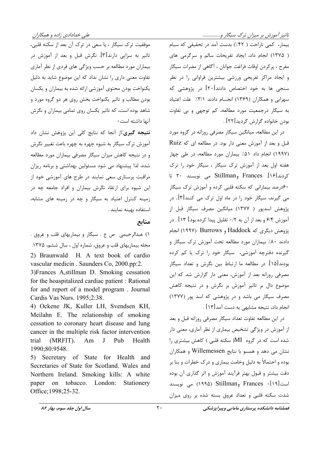تاثیر آموزش بر میزان ترک سیگار و.................

بیمار، کمی ناراحت ( ۴۲٪) بدست آمد در تحقیقی که سیام ( ١٣٧۵) انجام داد، ایجاد تفریحات سالم و سرگرمی های مفرح ، پركردن اوقات فراغت جوانان ، آگاهي از مضرات سيگار و ایجاد مراکز تفریحی ورزشی بیشترین فراوانی را در نظر سنجی ها به خود اختصاص دادند[۲۰] در پژوهشی که سهرابی و همکاران (۱۳۶۹) انجسام دادند ۳/۱٪ علت اعتیاد به سیگار درجمعیت مورد مطالعه، کم توجهی و بی تفاوت بودن خانواده گزارش گردید[۲۲] .

در این مطالعه، میانگین سیگار مصرفی روزانه در گروه مورد قبل و بعد از آموزش معنی دار بود. در مطالعه ای که Ruiz (١٩٩٧) انجام داد ٥١٪ بيماران مورد مطالعه، در طي چهار هفته اول بعد از آموزش ترک سیگار ، سیگار خود را ترک کردند[۱۶]. Frances وStillman می نویسند ۲۰ تا ۶۰درصد بیمارانی که سکته قلبی کرده و آموزش ترک سیگار می گیرند، سیگار خود را در ماه اول ترک می کنند[۳]. در یژوهش اسدیور ( ۱۳۷۷) میانگین مصرف سیگار قبل از آموزش ۶/۴ و بعد از آن به ۰/۲ تقلیل پیدا کرده بود[ ۱۳] . در پژوهش دیگری که Haddock و Burrows (۱۹۹۷) انجام دادند ۸۰٪ بیماران مورد مطالعه تحت آموزش ترک سیگار و گیرنده دفترچه آموزشی، سیگار خود را ترک یا کم کرده بودند[۱۵]. در مطالعه ما ارتباط بین نگرش و تعداد سیگار مصرفی روزانه بعد از آموزش، معنی دار گزارش شد که این موضوع دال بر تاثیر آموزش بر نگرش و در نتیجه کاهش مصرف سیگار می باشد و در پژوهشی که اسد پور (۱۳۷۷) انجام داد، نتیجه مشابهی به دست آمد[۱۳] .

در این مطالعه تفاوت تعداد سیگار مصرفی روزانه قبل و بعد از آموزش در ویژگی تشخیص بیماری از نظر آماری، معنی دار شده است که در گروه MI( سکته قلبی ) کاهش بیشتری را نشان می دهد و همسو با نتایج Willemessen و همکاران بوده و احتمالاً به دلیل وخامت بیماری و درک خطرات و بنا بر دقت بیشتر و قبول بهتر فرآیند آموزش و اثر گذاری آن بوده است[۱۹] • Frances وStillman (۱۹۹۵) می نویسند شدت سکته قلبی و تعداد عروق بسته شده بر روی میزان

موفقیت ترک سیگار ، یا سعی در ترک آن بعد از سکته قلبی، تاثیر به سزایی دارند[۳]. نگرش قبل و بعد از آموزش در بیماران مورد مطالعه بر حسب ویژگی های فردی از نظر آماری تفاوت معنی داری را نشان نداد که این موضوع شاید به دلیل یکنواخت بودن محتوی آموزشی ارائه شده به بیماران و یکسان بودن مطالب و تاثیر یکنواخت بخش روی هر دو گروه مورد و شاهد بوده است، که تاثیر یکسان روی تمامی بیماران و نگرش آنها داشته است ٠

نتیجه گیری از آنجا که نتایج کلی این پژوهش نشان داد آموزش ترک سیگار به شیوه چهره به چهره باعث تغییر نگرش و در نتیجه کاهش میزان سیگار مصرفی بیماران مورد مطالعه شده، لذا پیشنهاد می شود مسئولین بهداشتی و برنامه ریزان مراقبت پرستاری سعی نمایند در طرح های آموزشی خود از این شیوه برای ارتقاء نگرش بیماران و افراد جامعه چه در زمینه کنترل اعتیاد به سیگار و چه در زمینه های مشابه، استفاده بهينه نمايند .

## منابع

١) عبدالرحيمي ص ع . سيگار و بيماريهاي قلب و عروق . مجله بیماریهای قلب و عروق، شماره اول ، سال ششم، ۱۳۷۵. 2) Braunwald H. A text book of cardio vascular medicin. Saunders Co, 2000.pp:2.

3) Frances A, stillman D. Smoking cessation for the hoaspitalized cardiac patient : Rational for and report of a model program. Journal Cardis Vas Nurs. 1995;2:38.

4) Ockene JK, Kuller LH, Svendsen KH, Meilahn E. The relationship of smoking cessation to coronary heart disease and lung cancer in the multiple risk factor intervention trial  $(MRFIT)$ . Am J Pub Health 1990;80:9548.

5) Secretary of State for Health and Secretaries of State for Scotland. Wales and Northern Ireland. Smoking kills: A white paper on tobacco. London: Stationery Office; 1998; 25-32.

سال اول جلد سوم، بهار ۸۶

فصلنامه دانشکده پرستاری مامایی وییرایزشکی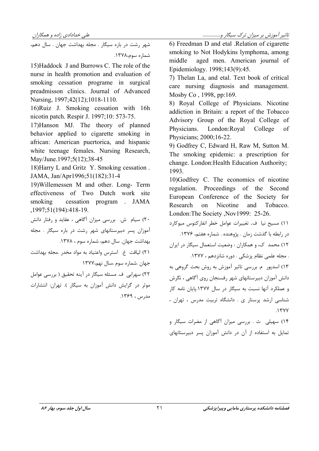شهر رشت در باره سیگار . مجله بهداشت جهان . سال دهم، شماره سوم،۱۳۷۸.

15) Haddock J and Burrows C. The role of the nurse in health promotion and evaluation of smoking cessation programe in surgical preadmisson clinics. Journal of Advanced Nursing, 1997; 42(12); 1018-1110.

16) Ruiz J. Smoking cessation with 16h nicotin patch. Respir J. 1997;10: 573-75.

17) Hanson MJ. The theory of planned behavior applied to cigarette smoking in african: American puertorica, and hispanic white teenage females. Nursing Research, May/June.1997;5(12);38-45

18) Harry L and Gritz Y. Smoking cessation. JAMA, Jan/Apr1996;51(182):31-4

19) Willemessen M and other. Long- Term effectiveness of Two Dutch work site smoking cessation program . JAMA .1997:51(194):418-19.

۲۰) سیام ش. بررسی میزان آگاهی ، عقاید و رفتار دانش آموزان پسر دبیرستانهای شهر رشت در باره سیگار . مجله بهداشت جهان. سال دهم، شماره سوم ، ۱۳۷۸. ٢١) لياقت غ. استرس واعتياد به مواد مخدر .مجله بهداشت جهان .شماره سوم ،سال نهم،١٣٧٧ ٢٢) سهرابي ف. مسئله سيگار در آينه تحقيق ( بررسي عوامل موثر در گرایش دانش آموزان به سیگار ). تهران: انتشارات مدرس ، ۱۳۶۹. 6) Freedman D and etal .Relation of cigarette smoking to Not Hodykins lymphoma, among middle aged men. American journal of Epidemiology. 1998;143(9):45.

7) Thelan La, and etal. Text book of critical care nursing diagnosis and management. Mosby Co, 1998, pp:169.

8) Royal College of Physicians. Nicotine addiction in Britain: a report of the Tobacco Advisory Group of the Royal College of Physicians. London: Royal College of Physicians; 2000;16-22.

9) Godfrey C, Edward H, Raw M, Sutton M. The smoking epidemic: a prescription for change. London: Health Education Authority; 1993.

10)Godfrey C. The economics of nicotine regulation. Proceedings of the Second European Conference of the Society for Research on Nicotine and Tobacco. London: The Society , Nov1999: 25-26.

.<br>۱۱) مسیح نیا ف. تغییرات عوامل خطر انفارکتوس میوکارد در رابطه با گذشت زمان . پژوهنده . شماره هفتم، ۱۳۷۶. ١٢) محمد ک، و همکاران : وضعیت استعمال سیگار در ایران مجله علمي نظام پزشكي . دوره شانزدهم ، ١٣٧٧. J ۱۳) اسدپور م. بررسی تاثیر آموزش به روش بحث گروهی به دانش آموزان دبیرستانهای شهر رفسنجان روی آگاهی ، نگرش و عملکرد آنها نسبت به سیگار در سال ۱۳۷۷.پایان نامه کار شناسی ارشد پرستار ی . دانشگاه تربیت مدرس ، تهران ، ۱۳۷۷.

۱۴) سهیلی ث . بررسی میزان آگاهی از مضرات سیگار و تمایل به استفاده از آن در دانش آموزان پسر دبیرستانهای